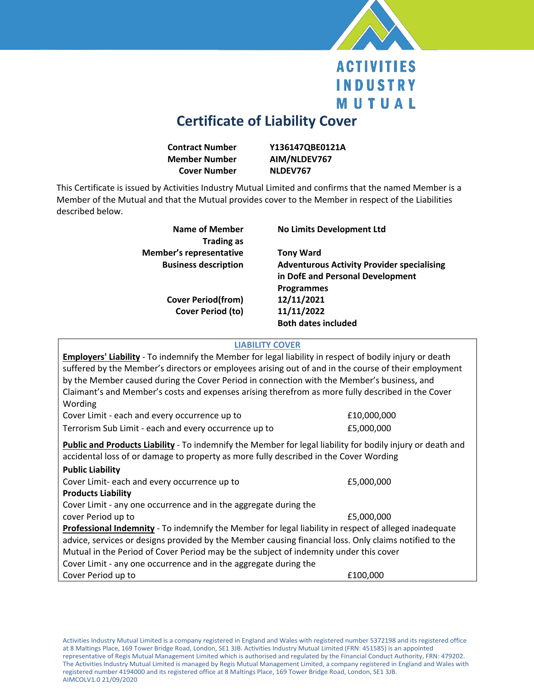

## **ACTIVITIES INDUSTRY** MUTUAL

## **Certificate of Liability Cover**

| <b>Contract Number</b> | Y13        |
|------------------------|------------|
| <b>Member Number</b>   | AIN        |
| <b>Cover Number</b>    | <b>NLC</b> |

**Contract Number Y136147QBE0121A M/NLDEV767 DEV767** 

This Certificate is issued by Activities Industry Mutual Limited and confirms that the named Member is a Member of the Mutual and that the Mutual provides cover to the Member in respect of the Liabilities described below.

| Name of Member<br><b>Trading as</b> | <b>No Limits Development Ltd</b>                  |
|-------------------------------------|---------------------------------------------------|
| <b>Member's representative</b>      | <b>Tony Ward</b>                                  |
| <b>Business description</b>         | <b>Adventurous Activity Provider specialising</b> |
|                                     | in DofE and Personal Development                  |
|                                     | <b>Programmes</b>                                 |
| <b>Cover Period(from)</b>           | 12/11/2021                                        |
| <b>Cover Period (to)</b>            | 11/11/2022                                        |
|                                     | <b>Both dates included</b>                        |
|                                     |                                                   |

## **LIABILITY COVER**

| Cover Limit - each and every occurrence up to<br>£10,000,000<br>Terrorism Sub Limit - each and every occurrence up to<br>£5,000,000<br>Public and Products Liability - To indemnify the Member for legal liability for bodily injury or death and<br>accidental loss of or damage to property as more fully described in the Cover Wording<br><b>Public Liability</b><br>Cover Limit- each and every occurrence up to<br>£5,000,000<br><b>Products Liability</b><br>Cover Limit - any one occurrence and in the aggregate during the<br>cover Period up to<br>£5,000,000<br>Professional Indemnity - To indemnify the Member for legal liability in respect of alleged inadequate<br>advice, services or designs provided by the Member causing financial loss. Only claims notified to the<br>Mutual in the Period of Cover Period may be the subject of indemnity under this cover | <b>Employers' Liability</b> - To indemnify the Member for legal liability in respect of bodily injury or death<br>suffered by the Member's directors or employees arising out of and in the course of their employment<br>by the Member caused during the Cover Period in connection with the Member's business, and<br>Claimant's and Member's costs and expenses arising therefrom as more fully described in the Cover<br>Wording |  |  |
|--------------------------------------------------------------------------------------------------------------------------------------------------------------------------------------------------------------------------------------------------------------------------------------------------------------------------------------------------------------------------------------------------------------------------------------------------------------------------------------------------------------------------------------------------------------------------------------------------------------------------------------------------------------------------------------------------------------------------------------------------------------------------------------------------------------------------------------------------------------------------------------|--------------------------------------------------------------------------------------------------------------------------------------------------------------------------------------------------------------------------------------------------------------------------------------------------------------------------------------------------------------------------------------------------------------------------------------|--|--|
|                                                                                                                                                                                                                                                                                                                                                                                                                                                                                                                                                                                                                                                                                                                                                                                                                                                                                      |                                                                                                                                                                                                                                                                                                                                                                                                                                      |  |  |
|                                                                                                                                                                                                                                                                                                                                                                                                                                                                                                                                                                                                                                                                                                                                                                                                                                                                                      |                                                                                                                                                                                                                                                                                                                                                                                                                                      |  |  |
|                                                                                                                                                                                                                                                                                                                                                                                                                                                                                                                                                                                                                                                                                                                                                                                                                                                                                      |                                                                                                                                                                                                                                                                                                                                                                                                                                      |  |  |
|                                                                                                                                                                                                                                                                                                                                                                                                                                                                                                                                                                                                                                                                                                                                                                                                                                                                                      |                                                                                                                                                                                                                                                                                                                                                                                                                                      |  |  |
|                                                                                                                                                                                                                                                                                                                                                                                                                                                                                                                                                                                                                                                                                                                                                                                                                                                                                      |                                                                                                                                                                                                                                                                                                                                                                                                                                      |  |  |
|                                                                                                                                                                                                                                                                                                                                                                                                                                                                                                                                                                                                                                                                                                                                                                                                                                                                                      |                                                                                                                                                                                                                                                                                                                                                                                                                                      |  |  |
|                                                                                                                                                                                                                                                                                                                                                                                                                                                                                                                                                                                                                                                                                                                                                                                                                                                                                      |                                                                                                                                                                                                                                                                                                                                                                                                                                      |  |  |
|                                                                                                                                                                                                                                                                                                                                                                                                                                                                                                                                                                                                                                                                                                                                                                                                                                                                                      |                                                                                                                                                                                                                                                                                                                                                                                                                                      |  |  |
|                                                                                                                                                                                                                                                                                                                                                                                                                                                                                                                                                                                                                                                                                                                                                                                                                                                                                      |                                                                                                                                                                                                                                                                                                                                                                                                                                      |  |  |
|                                                                                                                                                                                                                                                                                                                                                                                                                                                                                                                                                                                                                                                                                                                                                                                                                                                                                      | Cover Limit - any one occurrence and in the aggregate during the                                                                                                                                                                                                                                                                                                                                                                     |  |  |
| Cover Period up to<br>£100,000                                                                                                                                                                                                                                                                                                                                                                                                                                                                                                                                                                                                                                                                                                                                                                                                                                                       |                                                                                                                                                                                                                                                                                                                                                                                                                                      |  |  |

Activities Industry Mutual Limited is a company registered in England and Wales with registered number 5372198 and its registered office at 8 Maltings Place, 169 Tower Bridge Road, London, SE1 3JB. Activities Industry Mutual Limited (FRN: 451585) is an appointed representative of Regis Mutual Management Limited which is authorised and regulated by the Financial Conduct Authority, FRN: 479202. The Activities Industry Mutual Limited is managed by Regis Mutual Management Limited, a company registered in England and Wales with registered number 4194000 and its registered office at 8 Maltings Place, 169 Tower Bridge Road, London, SE1 3JB. AIMCOLV1.0 21/09/2020